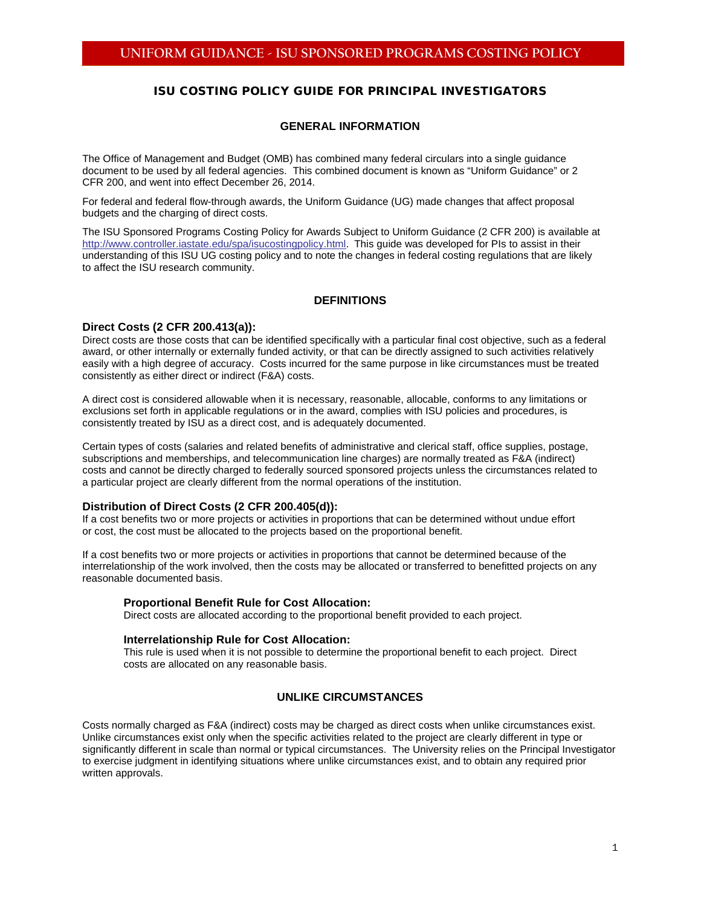# ISU COSTING POLICY GUIDE FOR PRINCIPAL INVESTIGATORS

# **GENERAL INFORMATION**

The Office of Management and Budget (OMB) has combined many federal circulars into a single guidance document to be used by all federal agencies. This combined document is known as "Uniform Guidance" or 2 CFR 200, and went into effect December 26, 2014.

For federal and federal flow-through awards, the Uniform Guidance (UG) made changes that affect proposal budgets and the charging of direct costs.

The ISU Sponsored Programs Costing Policy for Awards Subject to Uniform Guidance (2 CFR 200) is available at [http://www.controller.iastate.edu/spa/isucostingpolicy.html.](http://www.controller.iastate.edu/spa/isucostingpolicy.html) This guide was developed for PIs to assist in their understanding of this ISU UG costing policy and to note the changes in federal costing regulations that are likely to affect the ISU research community.

## **DEFINITIONS**

## **Direct Costs (2 CFR 200.413(a)):**

Direct costs are those costs that can be identified specifically with a particular final cost objective, such as a federal award, or other internally or externally funded activity, or that can be directly assigned to such activities relatively easily with a high degree of accuracy. Costs incurred for the same purpose in like circumstances must be treated consistently as either direct or indirect (F&A) costs.

A direct cost is considered allowable when it is necessary, reasonable, allocable, conforms to any limitations or exclusions set forth in applicable regulations or in the award, complies with ISU policies and procedures, is consistently treated by ISU as a direct cost, and is adequately documented.

Certain types of costs (salaries and related benefits of administrative and clerical staff, office supplies, postage, subscriptions and memberships, and telecommunication line charges) are normally treated as F&A (indirect) costs and cannot be directly charged to federally sourced [sponsored projects](http://www.asu.edu/aad/manuals/rsp/rsp004.html#sponsoredproject) unless the circumstances related to a particular project are clearly different from the normal operations of the institution.

## **Distribution of Direct Costs (2 CFR 200.405(d)):**

If a cost benefits two or more projects or activities in proportions that can be determined without undue effort or cost, the cost must be allocated to the projects based on the proportional benefit.

If a cost benefits two or more projects or activities in proportions that cannot be determined because of the interrelationship of the work involved, then the costs may be allocated or transferred to benefitted projects on any reasonable documented basis.

#### **Proportional Benefit Rule for Cost Allocation:**

Direct costs are allocated according to the proportional benefit provided to each project.

#### **Interrelationship Rule for Cost Allocation:**

This rule is used when it is not possible to determine the proportional benefit to each project. Direct costs are allocated on any reasonable basis.

## **UNLIKE CIRCUMSTANCES**

Costs normally charged as F&A (indirect) costs may be charged as direct costs when unlike circumstances exist. Unlike circumstances exist only when the specific activities related to the project are clearly different in type or significantly different in scale than normal or typical circumstances. The University relies on the Principal [Investigator](http://www.asu.edu/aad/manuals/rsp/rsp004.html#investigator) to exercise judgment in identifying situations where unlike circumstances exist, and to obtain any required prior written approvals.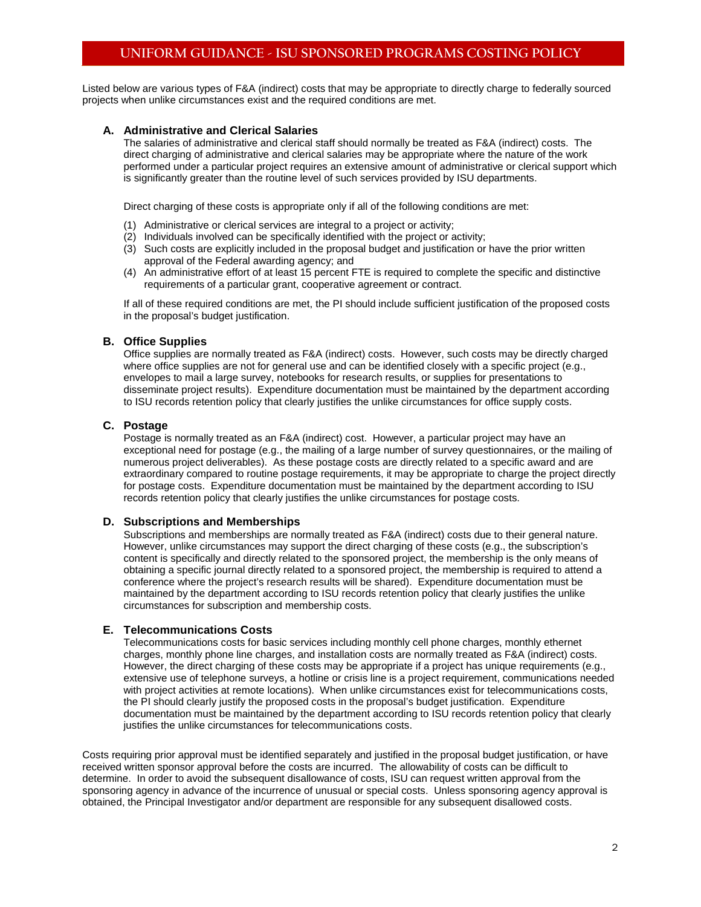# **UNIFORM GUIDANCE - ISU SPONSORED PROGRAMS COSTING POLICY**

Listed below are various types of F&A (indirect) costs that may be appropriate to directly charge to federally sourced projects when unlike circumstances exist and the required conditions are met.

## **A. Administrative and Clerical Salaries**

The salaries of administrative and clerical staff should normally be treated as F&A (indirect) costs. The direct charging of administrative and clerical salaries may be appropriate where the nature of the work performed under a particular project requires an extensive amount of administrative or clerical support which is significantly greater than the routine level of such services provided by ISU departments.

Direct charging of these costs is appropriate only if all of the following conditions are met:

- (1) Administrative or clerical services are integral to a project or activity;
- (2) Individuals involved can be specifically identified with the project or activity;
- (3) Such costs are explicitly included in the proposal budget and justification or have the prior written approval of the Federal awarding agency; and
- (4) An administrative effort of at least 15 percent FTE is required to complete the specific and distinctive requirements of a particular grant, cooperative agreement or contract.

If all of these required conditions are met, the PI should include sufficient justification of the proposed costs in the proposal's budget justification.

#### **B. Office Supplies**

Office supplies are normally treated as F&A (indirect) costs. However, such costs may be directly charged where office supplies are not for general use and can be identified closely with a specific project (e.g., envelopes to mail a large survey, notebooks for research results, or supplies for presentations to disseminate project results). Expenditure documentation must be maintained by the department according to ISU records retention policy that clearly justifies the unlike circumstances for office supply costs.

### **C. Postage**

Postage is normally treated as an F&A (indirect) cost. However, a particular project may have an exceptional need for postage (e.g., the mailing of a large number of survey questionnaires, or the mailing of numerous project deliverables). As these postage costs are directly related to a specific award and are extraordinary compared to routine postage requirements, it may be appropriate to charge the project directly for postage costs. Expenditure documentation must be maintained by the department according to ISU records retention policy that clearly justifies the unlike circumstances for postage costs.

#### **D. Subscriptions and Memberships**

Subscriptions and memberships are normally treated as F&A (indirect) costs due to their general nature. However, unlike circumstances may support the direct charging of these costs (e.g., the subscription's content is specifically and directly related to the sponsored project, the membership is the only means of obtaining a specific journal directly related to a sponsored project, the membership is required to attend a conference where the project's research results will be shared). Expenditure documentation must be maintained by the department according to ISU records retention policy that clearly justifies the unlike circumstances for subscription and membership costs.

## **E. Telecommunications Costs**

Telecommunications costs for basic services including monthly cell phone charges, monthly ethernet charges, monthly phone line charges, and installation costs are normally treated as F&A (indirect) costs. However, the direct charging of these costs may be appropriate if a project has unique requirements (e.g., extensive use of telephone surveys, a hotline or crisis line is a project requirement, communications needed with project activities at remote locations). When unlike circumstances exist for telecommunications costs, the PI should clearly justify the proposed costs in the proposal's budget justification. Expenditure documentation must be maintained by the department according to ISU records retention policy that clearly justifies the unlike circumstances for telecommunications costs.

Costs requiring prior approval must be identified separately and justified in the proposal budget justification, or have received written sponsor approval before the costs are incurred. The allowability of costs can be difficult to determine. In order to avoid the subsequent disallowance of costs, ISU can request written approval from the sponsoring agency in advance of the incurrence of unusual or special costs. Unless sponsoring agency approval is obtained, the Principal Investigator and/or department are responsible for any subsequent disallowed costs.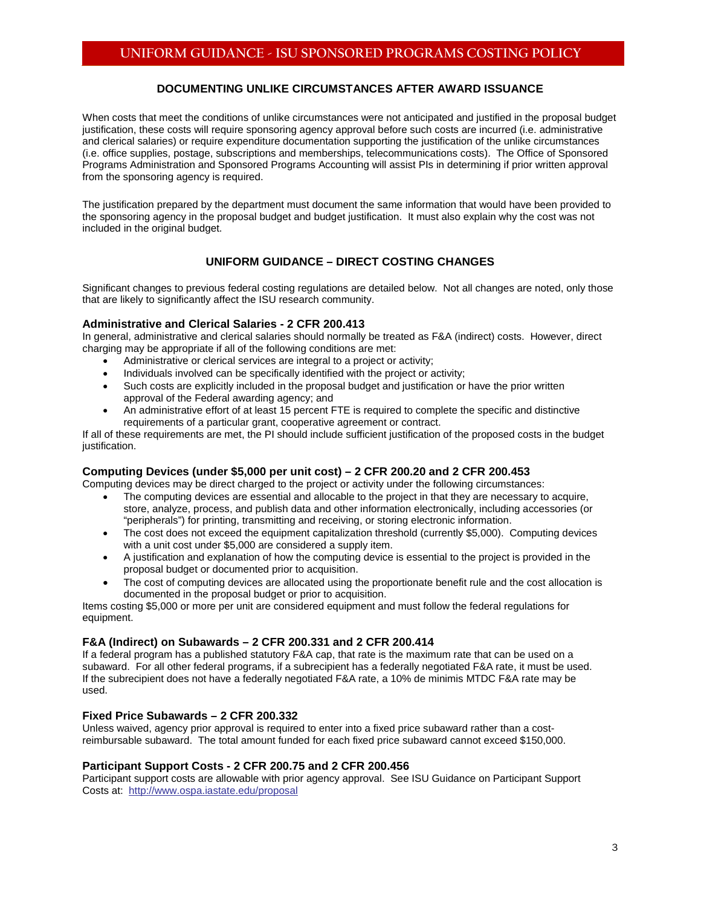# **DOCUMENTING UNLIKE CIRCUMSTANCES AFTER AWARD ISSUANCE**

When costs that meet the conditions of unlike circumstances were not anticipated and justified in the proposal budget justification, these costs will require sponsoring agency approval before such costs are incurred (i.e. administrative and clerical salaries) or require expenditure documentation supporting the justification of the unlike circumstances (i.e. office supplies, postage, subscriptions and memberships, telecommunications costs). The Office of Sponsored Programs Administration and Sponsored Programs Accounting will assist PIs in determining if prior written approval from the sponsoring agency is required.

The justification prepared by the department must document the same information that would have been provided to the sponsoring agency in the proposal budget and budget justification. It must also explain why the cost was not included in the original budget.

# **UNIFORM GUIDANCE – DIRECT COSTING CHANGES**

Significant changes to previous federal costing regulations are detailed below. Not all changes are noted, only those that are likely to significantly affect the ISU research community.

## **Administrative and Clerical Salaries - 2 CFR 200.413**

In general, administrative and clerical salaries should normally be treated as F&A (indirect) costs. However, direct charging may be appropriate if all of the following conditions are met:

- Administrative or clerical services are integral to a project or activity;
- Individuals involved can be specifically identified with the project or activity;
- Such costs are explicitly included in the proposal budget and justification or have the prior written approval of the Federal awarding agency; and
- An administrative effort of at least 15 percent FTE is required to complete the specific and distinctive requirements of a particular grant, cooperative agreement or contract.

If all of these requirements are met, the PI should include sufficient justification of the proposed costs in the budget justification.

## **Computing Devices (under \$5,000 per unit cost) – 2 CFR 200.20 and 2 CFR 200.453**

Computing devices may be direct charged to the project or activity under the following circumstances:

- The computing devices are essential and allocable to the project in that they are necessary to acquire, store, analyze, process, and publish data and other information electronically, including accessories (or "peripherals") for printing, transmitting and receiving, or storing electronic information.
- The cost does not exceed the equipment capitalization threshold (currently \$5,000). Computing devices with a unit cost under \$5,000 are considered a supply item.
- A justification and explanation of how the computing device is essential to the project is provided in the proposal budget or documented prior to acquisition.
- The cost of computing devices are allocated using the proportionate benefit rule and the cost allocation is documented in the proposal budget or prior to acquisition.

Items costing \$5,000 or more per unit are considered equipment and must follow the federal regulations for equipment.

# **F&A (Indirect) on Subawards – 2 CFR 200.331 and 2 CFR 200.414**

If a federal program has a published statutory F&A cap, that rate is the maximum rate that can be used on a subaward. For all other federal programs, if a subrecipient has a federally negotiated F&A rate, it must be used. If the subrecipient does not have a federally negotiated F&A rate, a 10% de minimis MTDC F&A rate may be used.

## **Fixed Price Subawards – 2 CFR 200.332**

Unless waived, agency prior approval is required to enter into a fixed price subaward rather than a costreimbursable subaward. The total amount funded for each fixed price subaward cannot exceed \$150,000.

## **Participant Support Costs - 2 CFR 200.75 and 2 CFR 200.456**

Participant support costs are allowable with prior agency approval. See ISU Guidance on Participant Support Costs at:<http://www.ospa.iastate.edu/proposal>